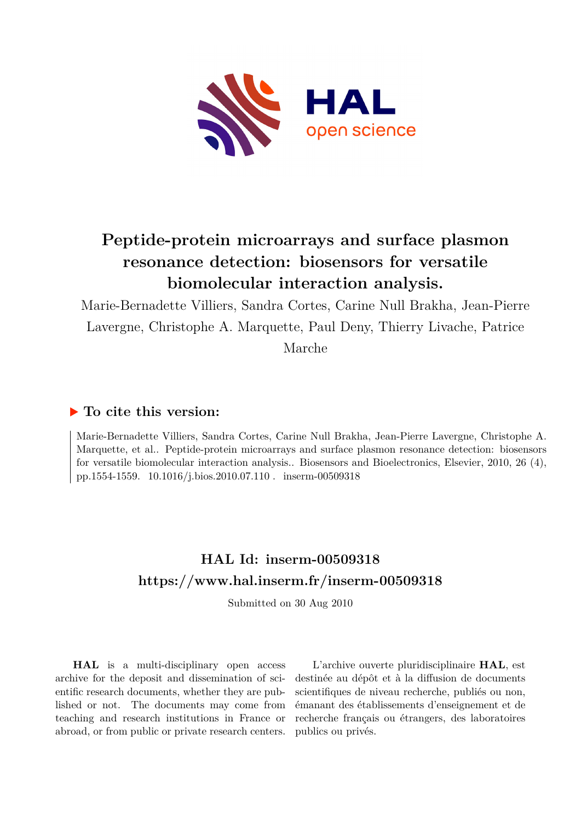

# **Peptide-protein microarrays and surface plasmon resonance detection: biosensors for versatile biomolecular interaction analysis.**

Marie-Bernadette Villiers, Sandra Cortes, Carine Null Brakha, Jean-Pierre Lavergne, Christophe A. Marquette, Paul Deny, Thierry Livache, Patrice Marche

# **To cite this version:**

Marie-Bernadette Villiers, Sandra Cortes, Carine Null Brakha, Jean-Pierre Lavergne, Christophe A. Marquette, et al.. Peptide-protein microarrays and surface plasmon resonance detection: biosensors for versatile biomolecular interaction analysis.. Biosensors and Bioelectronics, Elsevier, 2010, 26 (4), pp.1554-1559.  $10.1016$ /j.bios.2010.07.110 inserm-00509318

# **HAL Id: inserm-00509318 <https://www.hal.inserm.fr/inserm-00509318>**

Submitted on 30 Aug 2010

**HAL** is a multi-disciplinary open access archive for the deposit and dissemination of scientific research documents, whether they are published or not. The documents may come from teaching and research institutions in France or abroad, or from public or private research centers.

L'archive ouverte pluridisciplinaire **HAL**, est destinée au dépôt et à la diffusion de documents scientifiques de niveau recherche, publiés ou non, émanant des établissements d'enseignement et de recherche français ou étrangers, des laboratoires publics ou privés.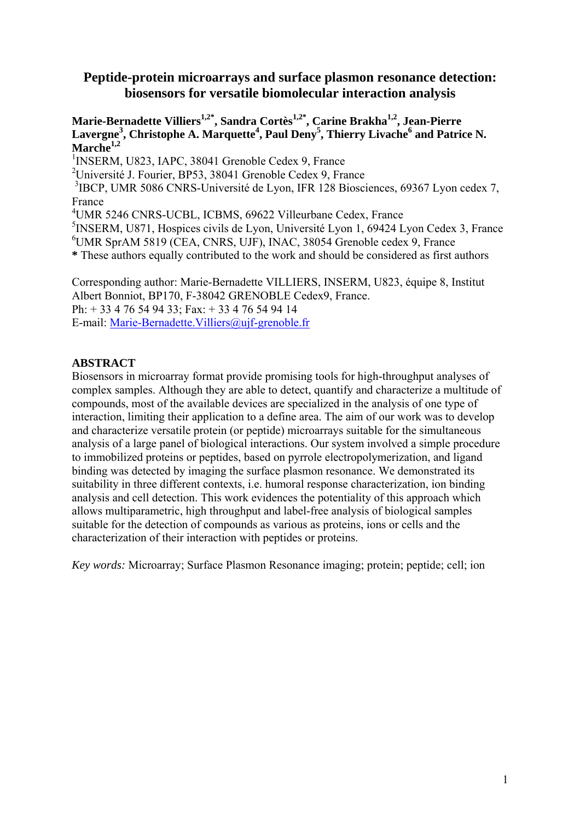# **Peptide-protein microarrays and surface plasmon resonance detection: biosensors for versatile biomolecular interaction analysis**

Marie-Bernadette Villiers<sup>1,2\*</sup>, Sandra Cortès<sup>1,2\*</sup>, Carine Brakha<sup>1,2</sup>, Jean-Pierre Lavergne<sup>3</sup>, Christophe A. Marquette<sup>4</sup>, Paul Deny<sup>5</sup>, Thierry Livache<sup>6</sup> and Patrice N. **Marche1,2**

<sup>1</sup>INSERM, U823, IAPC, 38041 Grenoble Cedex 9, France

2 Université J. Fourier, BP53, 38041 Grenoble Cedex 9, France

<sup>3</sup>IBCP, UMR 5086 CNRS-Université de Lyon, IFR 128 Biosciences, 69367 Lyon cedex 7, France

4 UMR 5246 CNRS-UCBL, ICBMS, 69622 Villeurbane Cedex, France

<sup>5</sup>INSERM, U871, Hospices civils de Lyon, Université Lyon 1, 69424 Lyon Cedex 3, France

6 UMR SprAM 5819 (CEA, CNRS, UJF), INAC, 38054 Grenoble cedex 9, France

**\*** These authors equally contributed to the work and should be considered as first authors

Corresponding author: Marie-Bernadette VILLIERS, INSERM, U823, équipe 8, Institut Albert Bonniot, BP170, F-38042 GRENOBLE Cedex9, France. Ph: + 33 4 76 54 94 33; Fax: + 33 4 76 54 94 14 E-mail: Marie-Bernadette.Villiers@ujf-grenoble.fr

# **ABSTRACT**

Biosensors in microarray format provide promising tools for high-throughput analyses of complex samples. Although they are able to detect, quantify and characterize a multitude of compounds, most of the available devices are specialized in the analysis of one type of interaction, limiting their application to a define area. The aim of our work was to develop and characterize versatile protein (or peptide) microarrays suitable for the simultaneous analysis of a large panel of biological interactions. Our system involved a simple procedure to immobilized proteins or peptides, based on pyrrole electropolymerization, and ligand binding was detected by imaging the surface plasmon resonance. We demonstrated its suitability in three different contexts, i.e. humoral response characterization, ion binding analysis and cell detection. This work evidences the potentiality of this approach which allows multiparametric, high throughput and label-free analysis of biological samples suitable for the detection of compounds as various as proteins, ions or cells and the characterization of their interaction with peptides or proteins.

*Key words:* Microarray; Surface Plasmon Resonance imaging; protein; peptide; cell; ion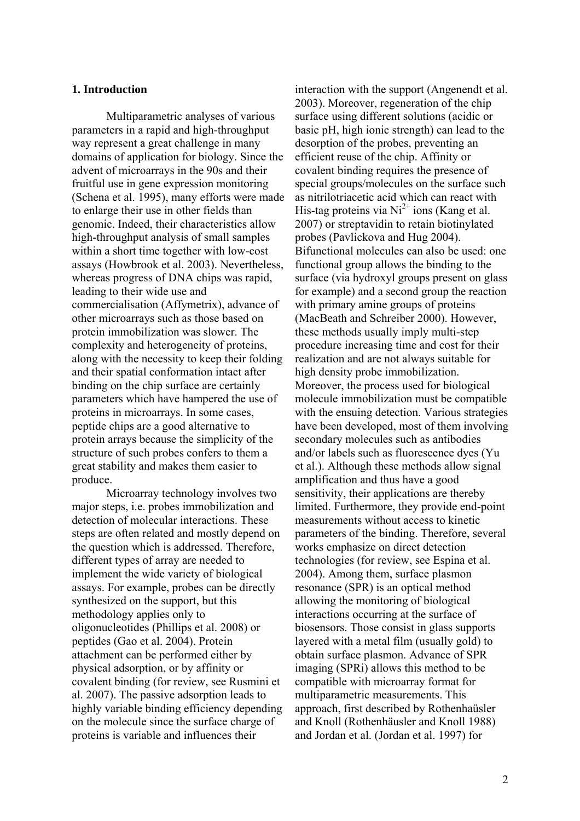### **1. Introduction**

Multiparametric analyses of various parameters in a rapid and high-throughput way represent a great challenge in many domains of application for biology. Since the advent of microarrays in the 90s and their fruitful use in gene expression monitoring (Schena et al. 1995), many efforts were made to enlarge their use in other fields than genomic. Indeed, their characteristics allow high-throughput analysis of small samples within a short time together with low-cost assays (Howbrook et al. 2003). Nevertheless, whereas progress of DNA chips was rapid, leading to their wide use and commercialisation (Affymetrix), advance of other microarrays such as those based on protein immobilization was slower. The complexity and heterogeneity of proteins, along with the necessity to keep their folding and their spatial conformation intact after binding on the chip surface are certainly parameters which have hampered the use of proteins in microarrays. In some cases, peptide chips are a good alternative to protein arrays because the simplicity of the structure of such probes confers to them a great stability and makes them easier to produce.

Microarray technology involves two major steps, i.e. probes immobilization and detection of molecular interactions. These steps are often related and mostly depend on the question which is addressed. Therefore, different types of array are needed to implement the wide variety of biological assays. For example, probes can be directly synthesized on the support, but this methodology applies only to oligonucleotides (Phillips et al. 2008) or peptides (Gao et al. 2004). Protein attachment can be performed either by physical adsorption, or by affinity or covalent binding (for review, see Rusmini et al. 2007). The passive adsorption leads to highly variable binding efficiency depending on the molecule since the surface charge of proteins is variable and influences their

interaction with the support (Angenendt et al. 2003). Moreover, regeneration of the chip surface using different solutions (acidic or basic pH, high ionic strength) can lead to the desorption of the probes, preventing an efficient reuse of the chip. Affinity or covalent binding requires the presence of special groups/molecules on the surface such as nitrilotriacetic acid which can react with His-tag proteins via  $Ni^{2+}$  ions (Kang et al. 2007) or streptavidin to retain biotinylated probes (Pavlickova and Hug 2004). Bifunctional molecules can also be used: one functional group allows the binding to the surface (via hydroxyl groups present on glass for example) and a second group the reaction with primary amine groups of proteins (MacBeath and Schreiber 2000). However, these methods usually imply multi-step procedure increasing time and cost for their realization and are not always suitable for high density probe immobilization. Moreover, the process used for biological molecule immobilization must be compatible with the ensuing detection. Various strategies have been developed, most of them involving secondary molecules such as antibodies and/or labels such as fluorescence dyes (Yu et al.). Although these methods allow signal amplification and thus have a good sensitivity, their applications are thereby limited. Furthermore, they provide end-point measurements without access to kinetic parameters of the binding. Therefore, several works emphasize on direct detection technologies (for review, see Espina et al. 2004). Among them, surface plasmon resonance (SPR) is an optical method allowing the monitoring of biological interactions occurring at the surface of biosensors. Those consist in glass supports layered with a metal film (usually gold) to obtain surface plasmon. Advance of SPR imaging (SPRi) allows this method to be compatible with microarray format for multiparametric measurements. This approach, first described by Rothenhaüsler and Knoll (Rothenhäusler and Knoll 1988) and Jordan et al. (Jordan et al. 1997) for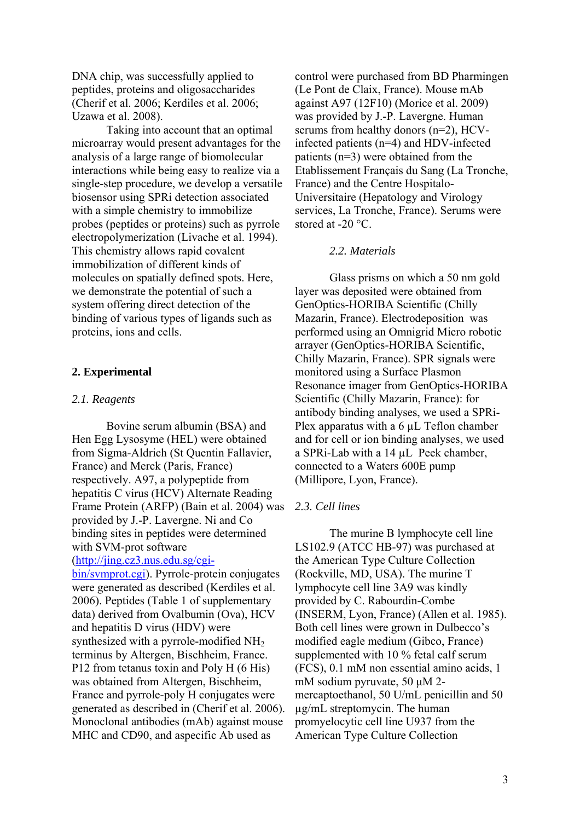DNA chip, was successfully applied to peptides, proteins and oligosaccharides (Cherif et al. 2006; Kerdiles et al. 2006; Uzawa et al. 2008).

Taking into account that an optimal microarray would present advantages for the analysis of a large range of biomolecular interactions while being easy to realize via a single-step procedure, we develop a versatile biosensor using SPRi detection associated with a simple chemistry to immobilize probes (peptides or proteins) such as pyrrole electropolymerization (Livache et al. 1994). This chemistry allows rapid covalent immobilization of different kinds of molecules on spatially defined spots. Here, we demonstrate the potential of such a system offering direct detection of the binding of various types of ligands such as proteins, ions and cells.

## **2. Experimental**

### *2.1. Reagents*

Bovine serum albumin (BSA) and Hen Egg Lysosyme (HEL) were obtained from Sigma-Aldrich (St Quentin Fallavier, France) and Merck (Paris, France) respectively. A97, a polypeptide from hepatitis C virus (HCV) Alternate Reading Frame Protein (ARFP) (Bain et al. 2004) was provided by J.-P. Lavergne. Ni and Co binding sites in peptides were determined with SVM-prot software (http://jing.cz3.nus.edu.sg/cgi-

bin/svmprot.cgi). Pyrrole-protein conjugates were generated as described (Kerdiles et al. 2006). Peptides (Table 1 of supplementary data) derived from Ovalbumin (Ova), HCV and hepatitis D virus (HDV) were synthesized with a pyrrole-modified NH2 terminus by Altergen, Bischheim, France. P12 from tetanus toxin and Poly H (6 His) was obtained from Altergen, Bischheim, France and pyrrole-poly H conjugates were generated as described in (Cherif et al. 2006). Monoclonal antibodies (mAb) against mouse MHC and CD90, and aspecific Ab used as

control were purchased from BD Pharmingen (Le Pont de Claix, France). Mouse mAb against A97 (12F10) (Morice et al. 2009) was provided by J.-P. Lavergne. Human serums from healthy donors (n=2), HCVinfected patients (n=4) and HDV-infected patients (n=3) were obtained from the Etablissement Français du Sang (La Tronche, France) and the Centre Hospitalo-Universitaire (Hepatology and Virology services, La Tronche, France). Serums were stored at -20 °C.

### *2.2. Materials*

Glass prisms on which a 50 nm gold layer was deposited were obtained from GenOptics-HORIBA Scientific (Chilly Mazarin, France). Electrodeposition was performed using an Omnigrid Micro robotic arrayer (GenOptics-HORIBA Scientific, Chilly Mazarin, France). SPR signals were monitored using a Surface Plasmon Resonance imager from GenOptics-HORIBA Scientific (Chilly Mazarin, France): for antibody binding analyses, we used a SPRi-Plex apparatus with a 6 µL Teflon chamber and for cell or ion binding analyses, we used a SPRi-Lab with a 14 µL Peek chamber, connected to a Waters 600E pump (Millipore, Lyon, France).

## *2.3. Cell lines*

The murine B lymphocyte cell line LS102.9 (ATCC HB-97) was purchased at the American Type Culture Collection (Rockville, MD, USA). The murine T lymphocyte cell line 3A9 was kindly provided by C. Rabourdin-Combe (INSERM, Lyon, France) (Allen et al. 1985). Both cell lines were grown in Dulbecco's modified eagle medium (Gibco, France) supplemented with 10 % fetal calf serum (FCS), 0.1 mM non essential amino acids, 1 mM sodium pyruvate, 50 μM 2 mercaptoethanol, 50 U/mL penicillin and 50 µg/mL streptomycin. The human promyelocytic cell line U937 from the American Type Culture Collection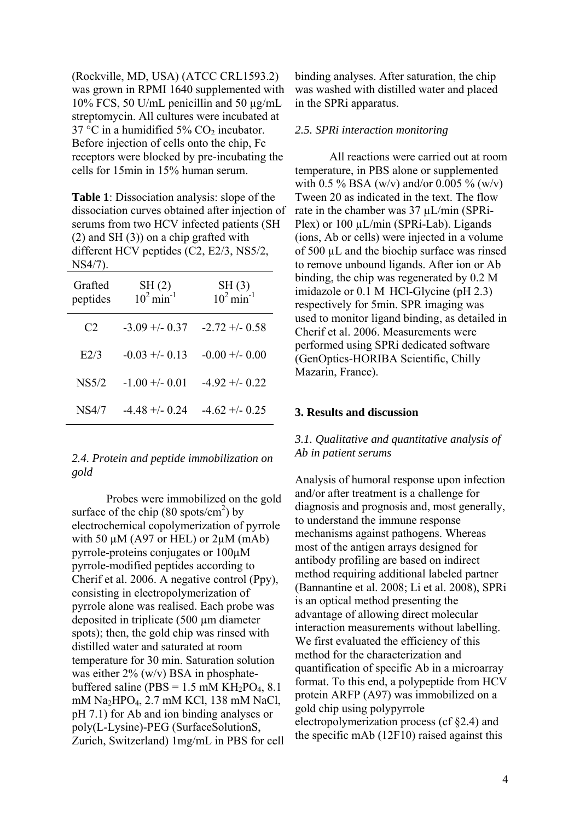(Rockville, MD, USA) (ATCC CRL1593.2) was grown in RPMI 1640 supplemented with 10% FCS, 50 U/mL penicillin and 50 µg/mL streptomycin. All cultures were incubated at 37 °C in a humidified 5%  $CO<sub>2</sub>$  incubator. Before injection of cells onto the chip, Fc receptors were blocked by pre-incubating the cells for 15min in 15% human serum.

**Table 1**: Dissociation analysis: slope of the dissociation curves obtained after injection of serums from two HCV infected patients (SH (2) and SH (3)) on a chip grafted with different HCV peptides (C2, E2/3, NS5/2, NS4/7).

| Grafted<br>peptides | $\frac{\text{SH (2)}}{10^2 \text{min}^{-1}}$ | $\frac{\text{SH (3)}}{10^2 \text{min}^1}$ |
|---------------------|----------------------------------------------|-------------------------------------------|
| C <sub>2</sub>      | $-3.09 + (-0.37)$                            | $-2.72 + -0.58$                           |
| E2/3                | $-0.03 + (-0.13)$                            | $-0.00 + (-0.00)$                         |
| NS5/2               | $-1.00 + -0.01$                              | $-4.92 + (-0.22)$                         |
| NS4/7               | $-4.48 + (-0.24)$                            | $-4.62 + (-0.25)$                         |

*2.4. Protein and peptide immobilization on gold* 

Probes were immobilized on the gold surface of the chip  $(80 \text{ spots/cm}^2)$  by electrochemical copolymerization of pyrrole with 50  $\mu$ M (A97 or HEL) or 2 $\mu$ M (mAb) pyrrole-proteins conjugates or 100µM pyrrole-modified peptides according to Cherif et al. 2006. A negative control (Ppy), consisting in electropolymerization of pyrrole alone was realised. Each probe was deposited in triplicate (500 µm diameter spots); then, the gold chip was rinsed with distilled water and saturated at room temperature for 30 min. Saturation solution was either  $2\%$  (w/v) BSA in phosphatebuffered saline (PBS =  $1.5$  mM KH<sub>2</sub>PO<sub>4</sub>, 8.1) mM Na2HPO4, 2.7 mM KCl, 138 mM NaCl, pH 7.1) for Ab and ion binding analyses or poly(L-Lysine)-PEG (SurfaceSolutionS, Zurich, Switzerland) 1mg/mL in PBS for cell binding analyses. After saturation, the chip was washed with distilled water and placed in the SPRi apparatus.

#### *2.5. SPRi interaction monitoring*

All reactions were carried out at room temperature, in PBS alone or supplemented with 0.5 % BSA (w/v) and/or 0.005 % (w/v) Tween 20 as indicated in the text. The flow rate in the chamber was 37 µL/min (SPRi-Plex) or 100  $\mu$ L/min (SPRi-Lab). Ligands (ions, Ab or cells) were injected in a volume of 500 µL and the biochip surface was rinsed to remove unbound ligands. After ion or Ab binding, the chip was regenerated by 0.2 M imidazole or 0.1 M HCl-Glycine (pH 2.3) respectively for 5min. SPR imaging was used to monitor ligand binding, as detailed in Cherif et al. 2006. Measurements were performed using SPRi dedicated software (GenOptics-HORIBA Scientific, Chilly Mazarin, France).

#### **3. Results and discussion**

# *3.1. Qualitative and quantitative analysis of Ab in patient serums*

Analysis of humoral response upon infection and/or after treatment is a challenge for diagnosis and prognosis and, most generally, to understand the immune response mechanisms against pathogens. Whereas most of the antigen arrays designed for antibody profiling are based on indirect method requiring additional labeled partner (Bannantine et al. 2008; Li et al. 2008), SPRi is an optical method presenting the advantage of allowing direct molecular interaction measurements without labelling. We first evaluated the efficiency of this method for the characterization and quantification of specific Ab in a microarray format. To this end, a polypeptide from HCV protein ARFP (A97) was immobilized on a gold chip using polypyrrole electropolymerization process (cf §2.4) and the specific mAb (12F10) raised against this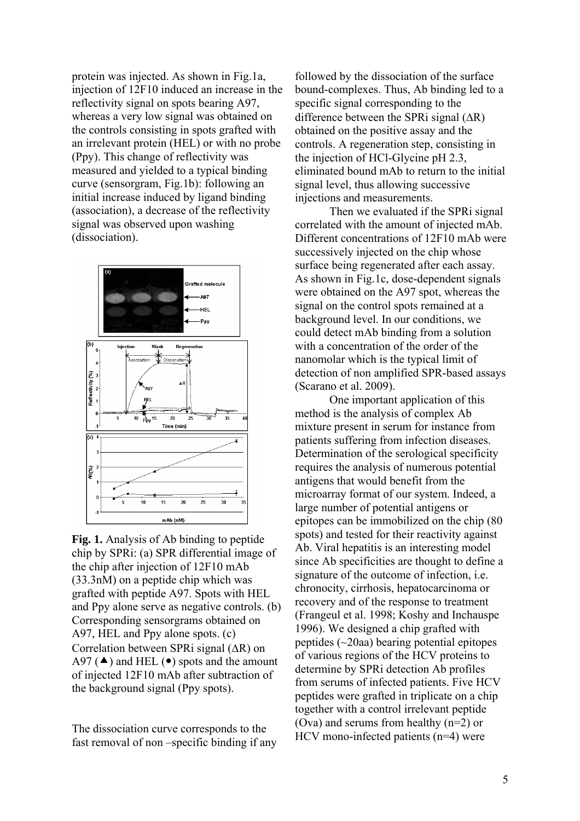protein was injected. As shown in Fig.1a, injection of 12F10 induced an increase in the reflectivity signal on spots bearing A97, whereas a very low signal was obtained on the controls consisting in spots grafted with an irrelevant protein (HEL) or with no probe (Ppy). This change of reflectivity was measured and yielded to a typical binding curve (sensorgram, Fig.1b): following an initial increase induced by ligand binding (association), a decrease of the reflectivity signal was observed upon washing (dissociation).



**Fig. 1.** Analysis of Ab binding to peptide chip by SPRi: (a) SPR differential image of the chip after injection of 12F10 mAb (33.3nM) on a peptide chip which was grafted with peptide A97. Spots with HEL and Ppy alone serve as negative controls. (b) Corresponding sensorgrams obtained on A97, HEL and Ppy alone spots. (c) Correlation between SPRi signal (ΔR) on A97 ( $\triangle$ ) and HEL ( $\bullet$ ) spots and the amount of injected 12F10 mAb after subtraction of the background signal (Ppy spots).

The dissociation curve corresponds to the fast removal of non –specific binding if any

followed by the dissociation of the surface bound-complexes. Thus, Ab binding led to a specific signal corresponding to the difference between the SPRi signal (ΔR) obtained on the positive assay and the controls. A regeneration step, consisting in the injection of HCl-Glycine pH 2.3, eliminated bound mAb to return to the initial signal level, thus allowing successive injections and measurements.

Then we evaluated if the SPRi signal correlated with the amount of injected mAb. Different concentrations of 12F10 mAb were successively injected on the chip whose surface being regenerated after each assay. As shown in Fig.1c, dose-dependent signals were obtained on the A97 spot, whereas the signal on the control spots remained at a background level. In our conditions, we could detect mAb binding from a solution with a concentration of the order of the nanomolar which is the typical limit of detection of non amplified SPR-based assays (Scarano et al. 2009).

One important application of this method is the analysis of complex Ab mixture present in serum for instance from patients suffering from infection diseases. Determination of the serological specificity requires the analysis of numerous potential antigens that would benefit from the microarray format of our system. Indeed, a large number of potential antigens or epitopes can be immobilized on the chip (80 spots) and tested for their reactivity against Ab. Viral hepatitis is an interesting model since Ab specificities are thought to define a signature of the outcome of infection, i.e. chronocity, cirrhosis, hepatocarcinoma or recovery and of the response to treatment (Frangeul et al. 1998; Koshy and Inchauspe 1996). We designed a chip grafted with peptides (~20aa) bearing potential epitopes of various regions of the HCV proteins to determine by SPRi detection Ab profiles from serums of infected patients. Five HCV peptides were grafted in triplicate on a chip together with a control irrelevant peptide (Ova) and serums from healthy (n=2) or HCV mono-infected patients (n=4) were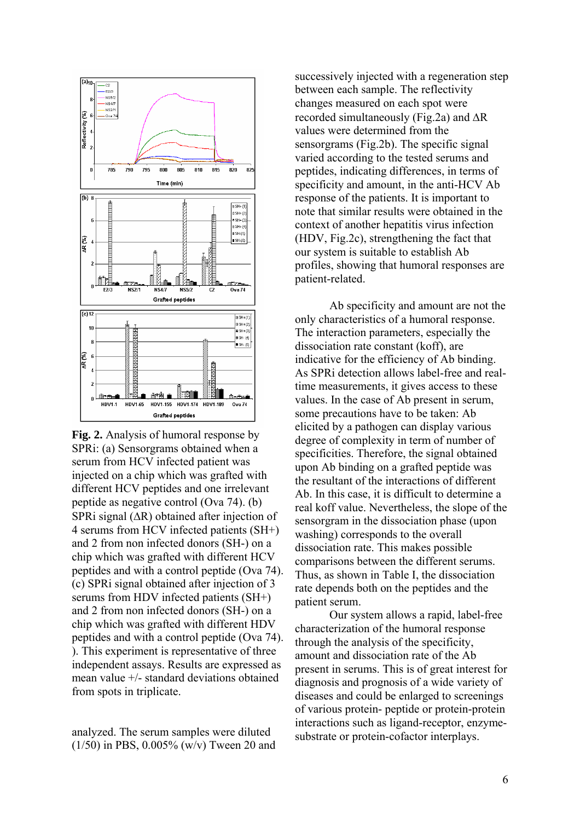

**Fig. 2.** Analysis of humoral response by SPRi: (a) Sensorgrams obtained when a serum from HCV infected patient was injected on a chip which was grafted with different HCV peptides and one irrelevant peptide as negative control (Ova 74). (b) SPRi signal (ΔR) obtained after injection of 4 serums from HCV infected patients (SH+) and 2 from non infected donors (SH-) on a chip which was grafted with different HCV peptides and with a control peptide (Ova 74). (c) SPRi signal obtained after injection of 3 serums from HDV infected patients (SH+) and 2 from non infected donors (SH-) on a chip which was grafted with different HDV peptides and with a control peptide (Ova 74). ). This experiment is representative of three independent assays. Results are expressed as mean value +/- standard deviations obtained from spots in triplicate.

analyzed. The serum samples were diluted (1/50) in PBS, 0.005% (w/v) Tween 20 and

successively injected with a regeneration step between each sample. The reflectivity changes measured on each spot were recorded simultaneously (Fig.2a) and ΔR values were determined from the sensorgrams (Fig.2b). The specific signal varied according to the tested serums and peptides, indicating differences, in terms of specificity and amount, in the anti-HCV Ab response of the patients. It is important to note that similar results were obtained in the context of another hepatitis virus infection (HDV, Fig.2c), strengthening the fact that our system is suitable to establish Ab profiles, showing that humoral responses are patient-related.

Ab specificity and amount are not the only characteristics of a humoral response. The interaction parameters, especially the dissociation rate constant (koff), are indicative for the efficiency of Ab binding. As SPRi detection allows label-free and realtime measurements, it gives access to these values. In the case of Ab present in serum, some precautions have to be taken: Ab elicited by a pathogen can display various degree of complexity in term of number of specificities. Therefore, the signal obtained upon Ab binding on a grafted peptide was the resultant of the interactions of different Ab. In this case, it is difficult to determine a real koff value. Nevertheless, the slope of the sensorgram in the dissociation phase (upon washing) corresponds to the overall dissociation rate. This makes possible comparisons between the different serums. Thus, as shown in Table I, the dissociation rate depends both on the peptides and the patient serum.

Our system allows a rapid, label-free characterization of the humoral response through the analysis of the specificity, amount and dissociation rate of the Ab present in serums. This is of great interest for diagnosis and prognosis of a wide variety of diseases and could be enlarged to screenings of various protein- peptide or protein-protein interactions such as ligand-receptor, enzymesubstrate or protein-cofactor interplays.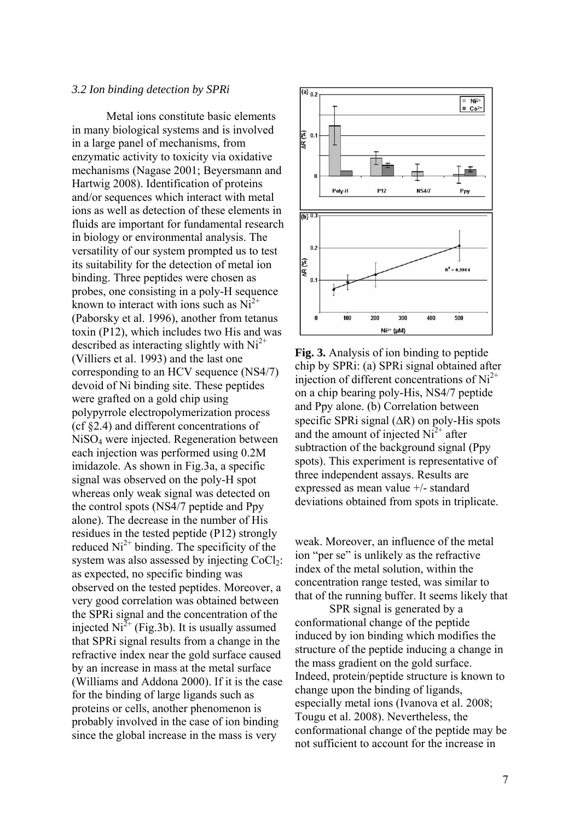#### *3.2 Ion binding detection by SPRi*

Metal ions constitute basic elements in many biological systems and is involved in a large panel of mechanisms, from enzymatic activity to toxicity via oxidative mechanisms (Nagase 2001; Beyersmann and Hartwig 2008). Identification of proteins and/or sequences which interact with metal ions as well as detection of these elements in fluids are important for fundamental research in biology or environmental analysis. The versatility of our system prompted us to test its suitability for the detection of metal ion binding. Three peptides were chosen as probes, one consisting in a poly-H sequence known to interact with ions such as  $Ni<sup>2+</sup>$ (Paborsky et al. 1996), another from tetanus toxin (P12), which includes two His and was described as interacting slightly with  $Ni<sup>2+</sup>$ (Villiers et al. 1993) and the last one corresponding to an HCV sequence (NS4/7) devoid of Ni binding site. These peptides were grafted on a gold chip using polypyrrole electropolymerization process (cf §2.4) and different concentrations of NiSO4 were injected. Regeneration between each injection was performed using 0.2M imidazole. As shown in Fig.3a, a specific signal was observed on the poly-H spot whereas only weak signal was detected on the control spots (NS4/7 peptide and Ppy alone). The decrease in the number of His residues in the tested peptide (P12) strongly reduced  $Ni<sup>2+</sup> binding$ . The specificity of the system was also assessed by injecting  $CoCl<sub>2</sub>$ : as expected, no specific binding was observed on the tested peptides. Moreover, a very good correlation was obtained between the SPRi signal and the concentration of the injected  $Ni^{2+}$  (Fig.3b). It is usually assumed that SPRi signal results from a change in the refractive index near the gold surface caused by an increase in mass at the metal surface (Williams and Addona 2000). If it is the case for the binding of large ligands such as proteins or cells, another phenomenon is probably involved in the case of ion binding since the global increase in the mass is very



**Fig. 3.** Analysis of ion binding to peptide chip by SPRi: (a) SPRi signal obtained after injection of different concentrations of  $Ni<sup>2+</sup>$ on a chip bearing poly-His, NS4/7 peptide and Ppy alone. (b) Correlation between specific SPRi signal (ΔR) on poly-His spots and the amount of injected  $Ni<sup>2+</sup>$  after subtraction of the background signal (Ppy spots). This experiment is representative of three independent assays. Results are expressed as mean value +/- standard deviations obtained from spots in triplicate.

weak. Moreover, an influence of the metal ion "per se" is unlikely as the refractive index of the metal solution, within the concentration range tested, was similar to that of the running buffer. It seems likely that

SPR signal is generated by a conformational change of the peptide induced by ion binding which modifies the structure of the peptide inducing a change in the mass gradient on the gold surface. Indeed, protein/peptide structure is known to change upon the binding of ligands, especially metal ions (Ivanova et al. 2008; Tougu et al. 2008). Nevertheless, the conformational change of the peptide may be not sufficient to account for the increase in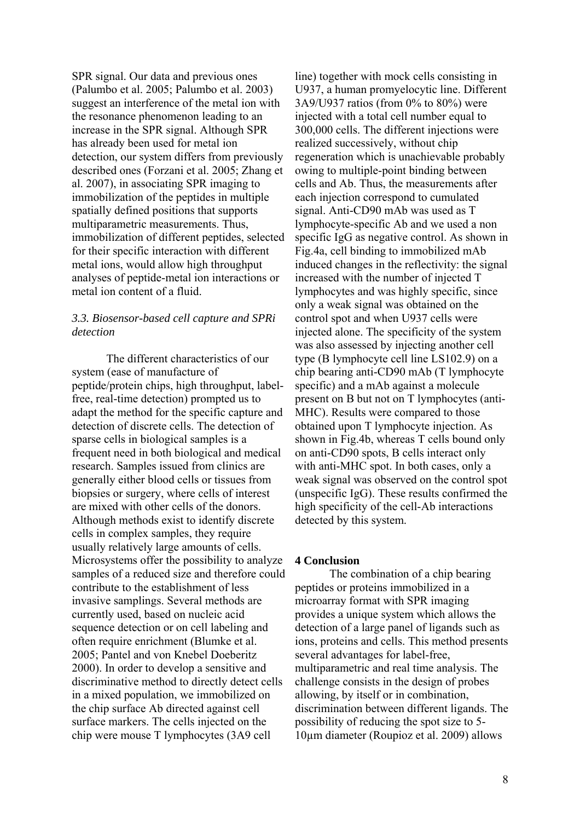SPR signal. Our data and previous ones (Palumbo et al. 2005; Palumbo et al. 2003) suggest an interference of the metal ion with the resonance phenomenon leading to an increase in the SPR signal. Although SPR has already been used for metal ion detection, our system differs from previously described ones (Forzani et al. 2005; Zhang et al. 2007), in associating SPR imaging to immobilization of the peptides in multiple spatially defined positions that supports multiparametric measurements. Thus, immobilization of different peptides, selected for their specific interaction with different metal ions, would allow high throughput analyses of peptide-metal ion interactions or metal ion content of a fluid.

# *3.3. Biosensor-based cell capture and SPRi detection*

The different characteristics of our system (ease of manufacture of peptide/protein chips, high throughput, labelfree, real-time detection) prompted us to adapt the method for the specific capture and detection of discrete cells. The detection of sparse cells in biological samples is a frequent need in both biological and medical research. Samples issued from clinics are generally either blood cells or tissues from biopsies or surgery, where cells of interest are mixed with other cells of the donors. Although methods exist to identify discrete cells in complex samples, they require usually relatively large amounts of cells. Microsystems offer the possibility to analyze samples of a reduced size and therefore could contribute to the establishment of less invasive samplings. Several methods are currently used, based on nucleic acid sequence detection or on cell labeling and often require enrichment (Blumke et al. 2005; Pantel and von Knebel Doeberitz 2000). In order to develop a sensitive and discriminative method to directly detect cells in a mixed population, we immobilized on the chip surface Ab directed against cell surface markers. The cells injected on the chip were mouse T lymphocytes (3A9 cell

line) together with mock cells consisting in U937, a human promyelocytic line. Different 3A9/U937 ratios (from 0% to 80%) were injected with a total cell number equal to 300,000 cells. The different injections were realized successively, without chip regeneration which is unachievable probably owing to multiple-point binding between cells and Ab. Thus, the measurements after each injection correspond to cumulated signal. Anti-CD90 mAb was used as T lymphocyte-specific Ab and we used a non specific IgG as negative control. As shown in Fig.4a, cell binding to immobilized mAb induced changes in the reflectivity: the signal increased with the number of injected T lymphocytes and was highly specific, since only a weak signal was obtained on the control spot and when U937 cells were injected alone. The specificity of the system was also assessed by injecting another cell type (B lymphocyte cell line LS102.9) on a chip bearing anti-CD90 mAb (T lymphocyte specific) and a mAb against a molecule present on B but not on T lymphocytes (anti-MHC). Results were compared to those obtained upon T lymphocyte injection. As shown in Fig.4b, whereas T cells bound only on anti-CD90 spots, B cells interact only with anti-MHC spot. In both cases, only a weak signal was observed on the control spot (unspecific IgG). These results confirmed the high specificity of the cell-Ab interactions detected by this system.

#### **4 Conclusion**

The combination of a chip bearing peptides or proteins immobilized in a microarray format with SPR imaging provides a unique system which allows the detection of a large panel of ligands such as ions, proteins and cells. This method presents several advantages for label-free, multiparametric and real time analysis. The challenge consists in the design of probes allowing, by itself or in combination, discrimination between different ligands. The possibility of reducing the spot size to 5- 10µm diameter (Roupioz et al. 2009) allows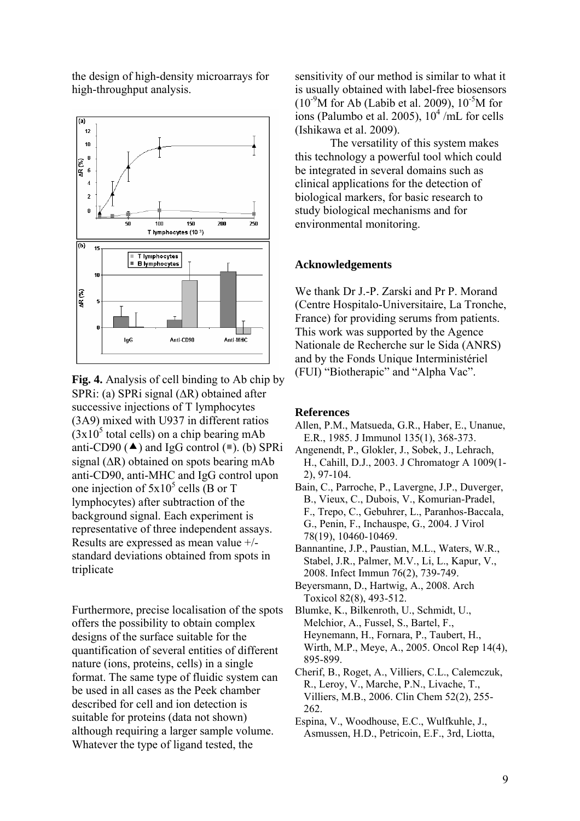the design of high-density microarrays for high-throughput analysis.



**Fig. 4.** Analysis of cell binding to Ab chip by SPRi: (a) SPRi signal (ΔR) obtained after successive injections of T lymphocytes (3A9) mixed with U937 in different ratios  $(3x10<sup>5</sup>$  total cells) on a chip bearing mAb anti-CD90 ( $\triangle$ ) and IgG control ( $\blacksquare$ ). (b) SPRi signal (ΔR) obtained on spots bearing mAb anti-CD90, anti-MHC and IgG control upon one injection of  $5x10^5$  cells (B or T) lymphocytes) after subtraction of the background signal. Each experiment is representative of three independent assays. Results are expressed as mean value +/ standard deviations obtained from spots in triplicate

Furthermore, precise localisation of the spots offers the possibility to obtain complex designs of the surface suitable for the quantification of several entities of different nature (ions, proteins, cells) in a single format. The same type of fluidic system can be used in all cases as the Peek chamber described for cell and ion detection is suitable for proteins (data not shown) although requiring a larger sample volume. Whatever the type of ligand tested, the

sensitivity of our method is similar to what it is usually obtained with label-free biosensors  $(10^{-9}M)$  for Ab (Labib et al. 2009),  $10^{-5}M$  for ions (Palumbo et al. 2005),  $10^4$ /mL for cells (Ishikawa et al. 2009).

The versatility of this system makes this technology a powerful tool which could be integrated in several domains such as clinical applications for the detection of biological markers, for basic research to study biological mechanisms and for environmental monitoring.

## **Acknowledgements**

We thank Dr J.-P. Zarski and Pr P. Morand (Centre Hospitalo-Universitaire, La Tronche, France) for providing serums from patients. This work was supported by the Agence Nationale de Recherche sur le Sida (ANRS) and by the Fonds Unique Interministériel (FUI) "Biotherapic" and "Alpha Vac".

#### **References**

- Allen, P.M., Matsueda, G.R., Haber, E., Unanue, E.R., 1985. J Immunol 135(1), 368-373.
- Angenendt, P., Glokler, J., Sobek, J., Lehrach, H., Cahill, D.J., 2003. J Chromatogr A 1009(1- 2), 97-104.
- Bain, C., Parroche, P., Lavergne, J.P., Duverger, B., Vieux, C., Dubois, V., Komurian-Pradel, F., Trepo, C., Gebuhrer, L., Paranhos-Baccala, G., Penin, F., Inchauspe, G., 2004. J Virol 78(19), 10460-10469.
- Bannantine, J.P., Paustian, M.L., Waters, W.R., Stabel, J.R., Palmer, M.V., Li, L., Kapur, V., 2008. Infect Immun 76(2), 739-749.
- Beyersmann, D., Hartwig, A., 2008. Arch Toxicol 82(8), 493-512.
- Blumke, K., Bilkenroth, U., Schmidt, U., Melchior, A., Fussel, S., Bartel, F., Heynemann, H., Fornara, P., Taubert, H., Wirth, M.P., Meye, A., 2005. Oncol Rep 14(4), 895-899.
- Cherif, B., Roget, A., Villiers, C.L., Calemczuk, R., Leroy, V., Marche, P.N., Livache, T., Villiers, M.B., 2006. Clin Chem 52(2), 255- 262.
- Espina, V., Woodhouse, E.C., Wulfkuhle, J., Asmussen, H.D., Petricoin, E.F., 3rd, Liotta,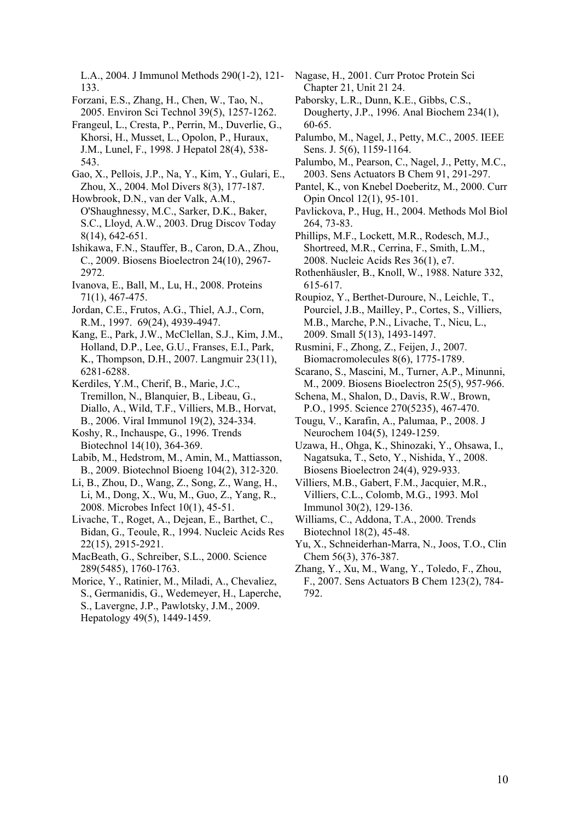L.A., 2004. J Immunol Methods 290(1-2), 121- 133.

Forzani, E.S., Zhang, H., Chen, W., Tao, N., 2005. Environ Sci Technol 39(5), 1257-1262.

- Frangeul, L., Cresta, P., Perrin, M., Duverlie, G., Khorsi, H., Musset, L., Opolon, P., Huraux, J.M., Lunel, F., 1998. J Hepatol 28(4), 538- 543.
- Gao, X., Pellois, J.P., Na, Y., Kim, Y., Gulari, E., Zhou, X., 2004. Mol Divers 8(3), 177-187.

Howbrook, D.N., van der Valk, A.M., O'Shaughnessy, M.C., Sarker, D.K., Baker, S.C., Lloyd, A.W., 2003. Drug Discov Today 8(14), 642-651.

Ishikawa, F.N., Stauffer, B., Caron, D.A., Zhou, C., 2009. Biosens Bioelectron 24(10), 2967- 2972.

- Ivanova, E., Ball, M., Lu, H., 2008. Proteins 71(1), 467-475.
- Jordan, C.E., Frutos, A.G., Thiel, A.J., Corn, R.M., 1997. 69(24), 4939-4947.

Kang, E., Park, J.W., McClellan, S.J., Kim, J.M., Holland, D.P., Lee, G.U., Franses, E.I., Park, K., Thompson, D.H., 2007. Langmuir 23(11), 6281-6288.

Kerdiles, Y.M., Cherif, B., Marie, J.C., Tremillon, N., Blanquier, B., Libeau, G., Diallo, A., Wild, T.F., Villiers, M.B., Horvat, B., 2006. Viral Immunol 19(2), 324-334.

Koshy, R., Inchauspe, G., 1996. Trends Biotechnol 14(10), 364-369.

- Labib, M., Hedstrom, M., Amin, M., Mattiasson, B., 2009. Biotechnol Bioeng 104(2), 312-320.
- Li, B., Zhou, D., Wang, Z., Song, Z., Wang, H., Li, M., Dong, X., Wu, M., Guo, Z., Yang, R., 2008. Microbes Infect 10(1), 45-51.

Livache, T., Roget, A., Dejean, E., Barthet, C., Bidan, G., Teoule, R., 1994. Nucleic Acids Res 22(15), 2915-2921.

MacBeath, G., Schreiber, S.L., 2000. Science 289(5485), 1760-1763.

Morice, Y., Ratinier, M., Miladi, A., Chevaliez, S., Germanidis, G., Wedemeyer, H., Laperche, S., Lavergne, J.P., Pawlotsky, J.M., 2009. Hepatology 49(5), 1449-1459.

- Nagase, H., 2001. Curr Protoc Protein Sci Chapter 21, Unit 21 24.
- Paborsky, L.R., Dunn, K.E., Gibbs, C.S., Dougherty, J.P., 1996. Anal Biochem 234(1), 60-65.
- Palumbo, M., Nagel, J., Petty, M.C., 2005. IEEE Sens. J. 5(6), 1159-1164.
- Palumbo, M., Pearson, C., Nagel, J., Petty, M.C., 2003. Sens Actuators B Chem 91, 291-297.
- Pantel, K., von Knebel Doeberitz, M., 2000. Curr Opin Oncol 12(1), 95-101.
- Pavlickova, P., Hug, H., 2004. Methods Mol Biol 264, 73-83.
- Phillips, M.F., Lockett, M.R., Rodesch, M.J., Shortreed, M.R., Cerrina, F., Smith, L.M., 2008. Nucleic Acids Res 36(1), e7.
- Rothenhäusler, B., Knoll, W., 1988. Nature 332, 615-617.
- Roupioz, Y., Berthet-Duroure, N., Leichle, T., Pourciel, J.B., Mailley, P., Cortes, S., Villiers, M.B., Marche, P.N., Livache, T., Nicu, L., 2009. Small 5(13), 1493-1497.

Rusmini, F., Zhong, Z., Feijen, J., 2007. Biomacromolecules 8(6), 1775-1789.

- Scarano, S., Mascini, M., Turner, A.P., Minunni, M., 2009. Biosens Bioelectron 25(5), 957-966.
- Schena, M., Shalon, D., Davis, R.W., Brown, P.O., 1995. Science 270(5235), 467-470.
- Tougu, V., Karafin, A., Palumaa, P., 2008. J Neurochem 104(5), 1249-1259.
- Uzawa, H., Ohga, K., Shinozaki, Y., Ohsawa, I., Nagatsuka, T., Seto, Y., Nishida, Y., 2008. Biosens Bioelectron 24(4), 929-933.
- Villiers, M.B., Gabert, F.M., Jacquier, M.R., Villiers, C.L., Colomb, M.G., 1993. Mol Immunol 30(2), 129-136.
- Williams, C., Addona, T.A., 2000. Trends Biotechnol 18(2), 45-48.
- Yu, X., Schneiderhan-Marra, N., Joos, T.O., Clin Chem 56(3), 376-387.
- Zhang, Y., Xu, M., Wang, Y., Toledo, F., Zhou, F., 2007. Sens Actuators B Chem 123(2), 784- 792.